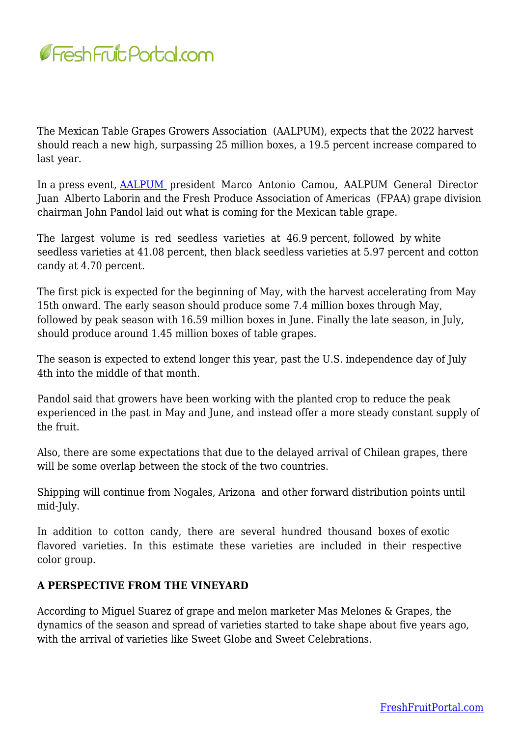

The Mexican Table Grapes Growers Association (AALPUM), expects that the 2022 harvest should reach a new high, surpassing 25 million boxes, a 19.5 percent increase compared to last year.

In a press event, [AALPUM](https://aalpum.org/) president Marco Antonio Camou, AALPUM General Director Juan Alberto Laborin and the Fresh Produce Association of Americas (FPAA) grape division chairman John Pandol laid out what is coming for the Mexican table grape.

The largest volume is red seedless varieties at 46.9 percent, followed by white seedless varieties at 41.08 percent, then black seedless varieties at 5.97 percent and cotton candy at 4.70 percent.

The first pick is expected for the beginning of May, with the harvest accelerating from May 15th onward. The early season should produce some 7.4 million boxes through May, followed by peak season with 16.59 million boxes in June. Finally the late season, in July, should produce around 1.45 million boxes of table grapes.

The season is expected to extend longer this year, past the U.S. independence day of July 4th into the middle of that month.

Pandol said that growers have been working with the planted crop to reduce the peak experienced in the past in May and June, and instead offer a more steady constant supply of the fruit.

Also, there are some expectations that due to the delayed arrival of Chilean grapes, there will be some overlap between the stock of the two countries.

Shipping will continue from Nogales, Arizona and other forward distribution points until mid‐July.

In addition to cotton candy, there are several hundred thousand boxes of exotic flavored varieties. In this estimate these varieties are included in their respective color group.

## **A PERSPECTIVE FROM THE VINEYARD**

According to Miguel Suarez of grape and melon marketer Mas Melones & Grapes, the dynamics of the season and spread of varieties started to take shape about five years ago, with the arrival of varieties like Sweet Globe and Sweet Celebrations.